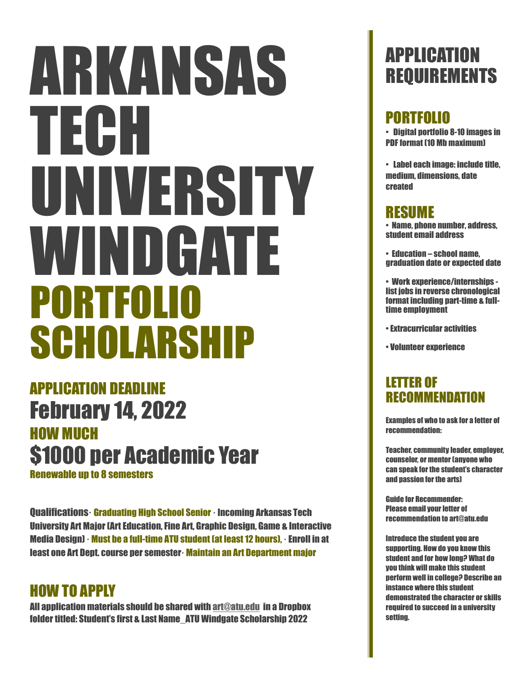# ARKANSAS TECH UNIVERSITY WINDGATE PORTFOLIO SCHOLARSHIP

### APPLICATION DEADLINE February 14, 2022 HOW MUCH \$1000 per Academic Year

Renewable up to 8 semesters

Qualifications· Graduating High School Senior· Incoming Arkansas Tech University Art Major (Art Education, Fine Art, Graphic Design, Game & Interactive Media Design)· Must be a full-time ATU student (at least 12 hours), · Enroll in at least one Art Dept. course per semester· Maintain an Art Department major

### HOW TO APPLY

All application materials should be shared with art[@atu.edu](mailto:sjohnson@atu.edu) in a Dropbox folder titled: Student's first & Last Name\_ATU Windgate Scholarship 2022

### APPLICATION REQUIREMENTS

### PORTFOLIO

• Digital portfolio 8-10 images in PDF format (10 Mb maximum)

• Label each image: include title, medium, dimensions, date created

### RESUME

• Name, phone number, address, student email address

• Education – school name, graduation date or expected date

• Work experience/internships list jobs in reverse chronological format including part-time & fulltime employment

• Extracurricular activities

• Volunteer experience

### LETTER OF RECOMMENDATION

Examples of who to ask for a letter of recommendation:

Teacher, community leader, employer, counselor, or mentor (anyone who can speak for the student's character and passion for the arts)

Guide for Recommender: Please email your letter of recommendation to art@atu.edu

Introduce the student you are supporting. How do you know this student and for how long? What do you think will make this student perform well in college? Describe an instance where this student demonstrated the character or skills required to succeed in a university setting.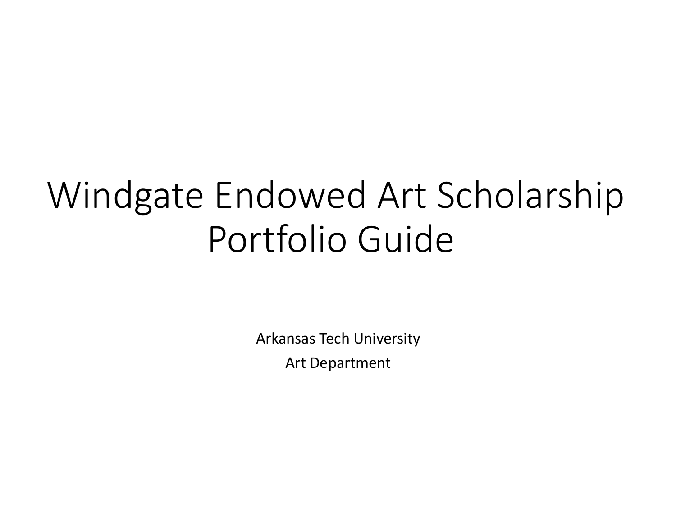# Windgate Endowed Art Scholarship Portfolio Guide

Arkansas Tech University

**Art Department**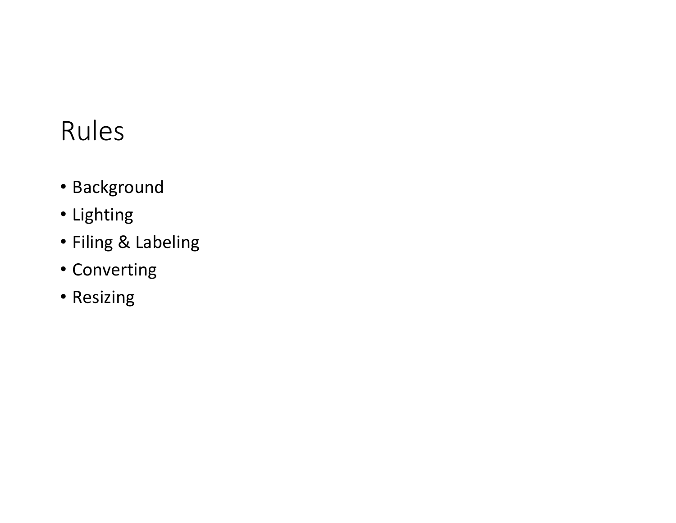# Rules

- Background
- Lighting
- Filing & Labeling
- Converting
- Resizing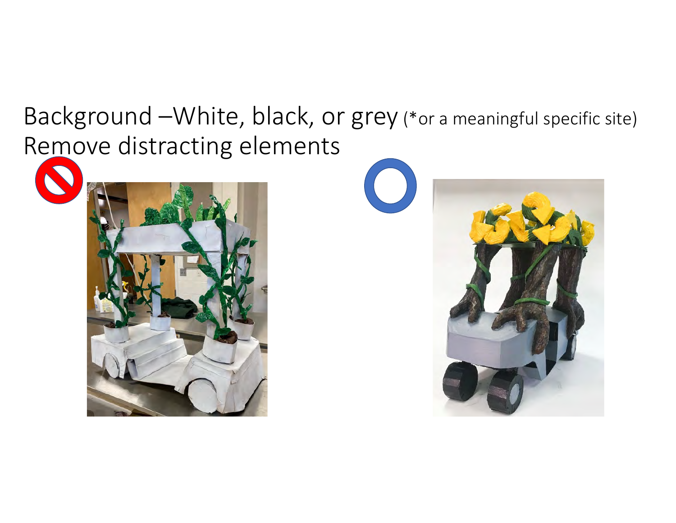Background -White, black, or grey (\*or a meaningful specific site) Remove distracting elements



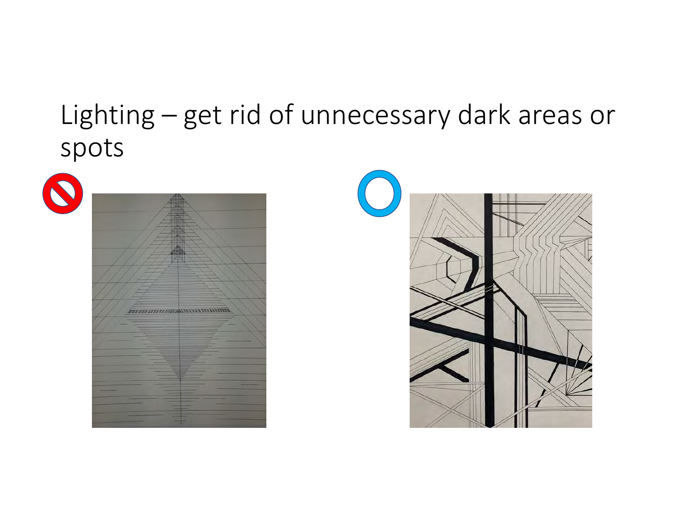# Lighting – get rid of unnecessary dark areas or spots





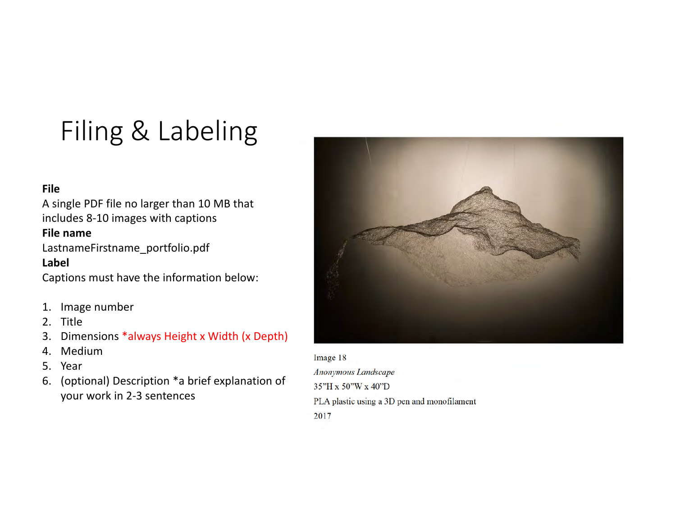# Filing & Labeling

#### **File**

A single PDF file no larger than 10 MB that includes 8-10 images with captions

#### **File name**

LastnameFirstname\_portfolio.pdf **Label**

Captions must have the information below:

- 1. Image number
- 2. Title
- 3. Dimensions \*always Height x Width (x Depth)
- 4. Medium
- 5. Year
- 6. (optional) Description \*a brief explanation of your work in 2-3 sentences



#### Image 18

Anonymous Landscape 35"H x 50"W x 40"D PLA plastic using a 3D pen and monofilament 2017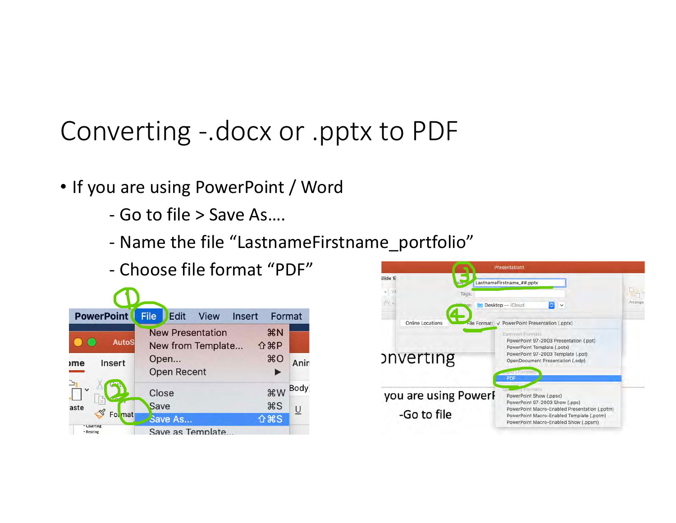# Converting -.docx or .pptx to PDF

- If you are using PowerPoint / Word
	- Go to file > Save As....
	- Name the file "LastnameFirstname\_portfolio"
	- Choose file format "PDF"



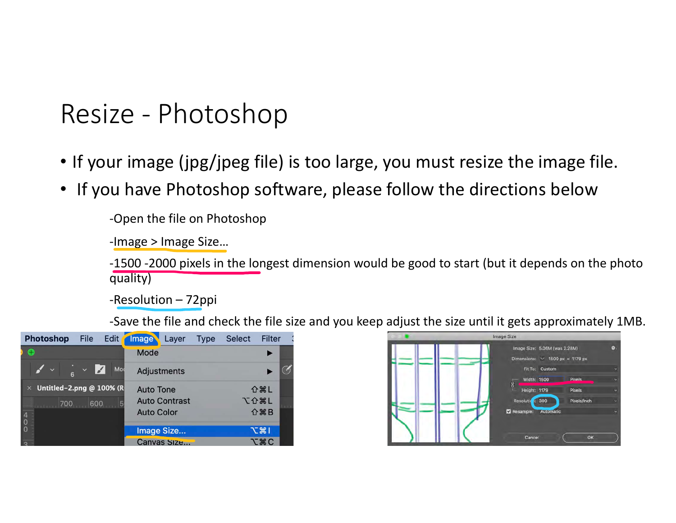# Resize - Photoshop

- If your image (jpg/jpeg file) is too large, you must resize the image file.
- If you have Photoshop software, please follow the directions below

-Open the file on Photoshop

-Image > Image Size...

-1500 -2000 pixels in the longest dimension would be good to start (but it depends on the photo quality)

-Resolution – 72ppi

-Save the file and check the file size and you keep adjust the size until it gets approximately 1MB.



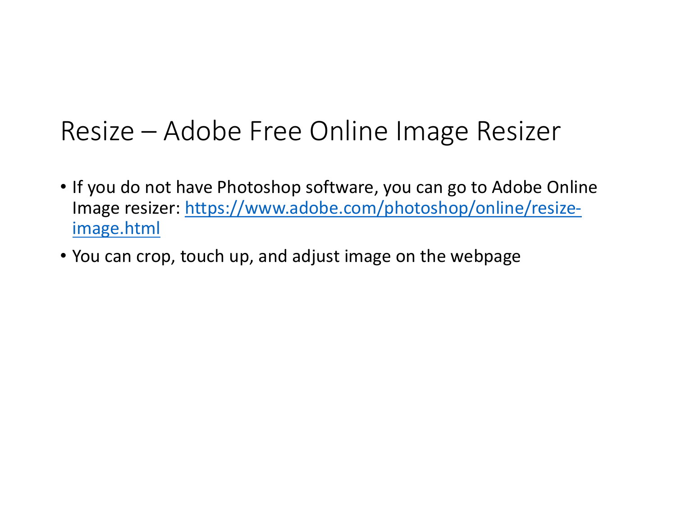# Resize – Adobe Free Online Image Resizer

- If you do not have Photoshop software, you can go to Adobe Online Image resizer: https://www.adobe.com/photoshop/online/resizeimage.html
- You can crop, touch up, and adjust image on the webpage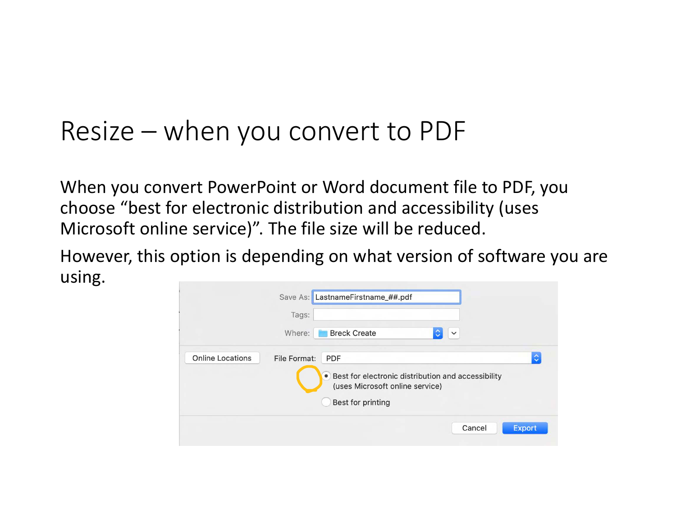# Resize  $-$  when you convert to PDF

When you convert PowerPoint or Word document file to PDF, you choose "best for electronic distribution and accessibility (uses Microsoft online service)". The file size will be reduced.

However, this option is depending on what version of software you are using.

|                         | Tags:                                                                                              |
|-------------------------|----------------------------------------------------------------------------------------------------|
|                         | <b>Breck Create</b><br>Where:<br>$\checkmark$                                                      |
| <b>Online Locations</b> | $\hat{\mathcal{L}}$<br>File Format:<br><b>PDF</b>                                                  |
|                         | Best for electronic distribution and accessibility<br>$\bullet$<br>(uses Microsoft online service) |
|                         | Best for printing                                                                                  |